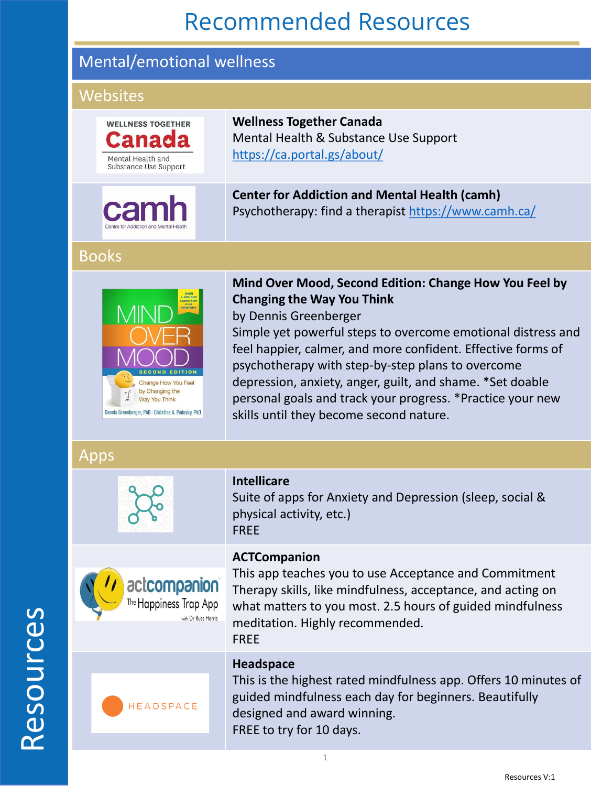### Mental/emotional wellness

#### **Websites**

| <b>WELLNESS TOGETHER</b><br>rana<br>Mental Health and<br>Substance Use Support                                                                       | <b>Wellness Together Canada</b><br>Mental Health & Substance Use Support<br>https://ca.portal.gs/about/                                                                                                                                                                                                                                                                                                                                                                         |  |
|------------------------------------------------------------------------------------------------------------------------------------------------------|---------------------------------------------------------------------------------------------------------------------------------------------------------------------------------------------------------------------------------------------------------------------------------------------------------------------------------------------------------------------------------------------------------------------------------------------------------------------------------|--|
|                                                                                                                                                      | <b>Center for Addiction and Mental Health (camh)</b><br>Psychotherapy: find a therapist https://www.camh.ca/                                                                                                                                                                                                                                                                                                                                                                    |  |
| <b>Books</b>                                                                                                                                         |                                                                                                                                                                                                                                                                                                                                                                                                                                                                                 |  |
| <b>ECOND EDITION</b><br><b>Change How You Feel</b><br>by Changing the<br><b>Way You Think</b><br>Dennis Greenberger, PhD   Christine A. Padesky, PhD | Mind Over Mood, Second Edition: Change How You Feel by<br><b>Changing the Way You Think</b><br>by Dennis Greenberger<br>Simple yet powerful steps to overcome emotional distress and<br>feel happier, calmer, and more confident. Effective forms of<br>psychotherapy with step-by-step plans to overcome<br>depression, anxiety, anger, guilt, and shame. *Set doable<br>personal goals and track your progress. *Practice your new<br>skills until they become second nature. |  |
| Apps                                                                                                                                                 |                                                                                                                                                                                                                                                                                                                                                                                                                                                                                 |  |
|                                                                                                                                                      | <b>Intellicare</b><br>Suite of apps for Anxiety and Depression (sleep, social &<br>physical activity, etc.)<br><b>FREE</b>                                                                                                                                                                                                                                                                                                                                                      |  |
| actcompanion<br>The Happiness Trap App                                                                                                               | <b>ACTCompanion</b><br>This app teaches you to use Acceptance and Commitment<br>Therapy skills, like mindfulness, acceptance, and acting on<br>what matters to you most. 2.5 hours of guided mindfulness<br>meditation. Highly recommended.<br><b>FREE</b>                                                                                                                                                                                                                      |  |
| HEADSPACE                                                                                                                                            | <b>Headspace</b><br>This is the highest rated mindfulness app. Offers 10 minutes of<br>guided mindfulness each day for beginners. Beautifully<br>designed and award winning.<br>FREE to try for 10 days.                                                                                                                                                                                                                                                                        |  |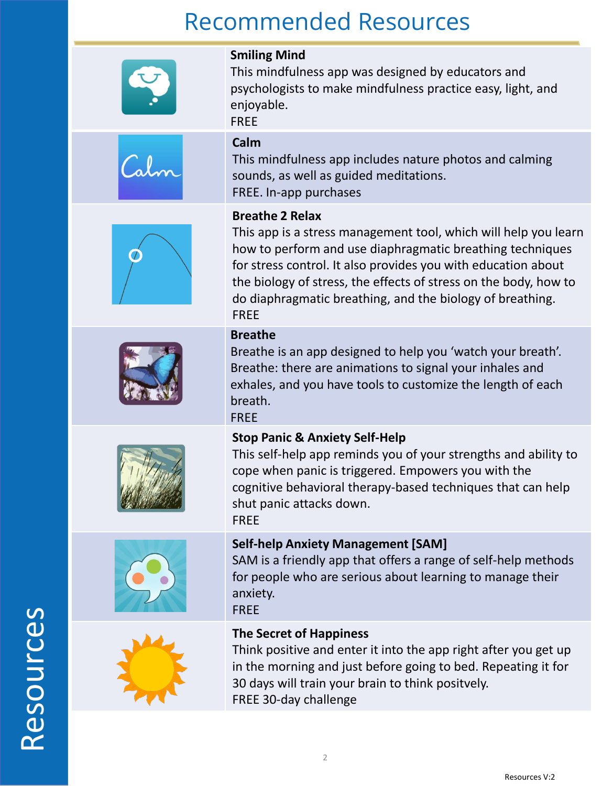| <b>Smiling Mind</b><br>This mindfulness app was designed by educators and<br>psychologists to make mindfulness practice easy, light, and<br>enjoyable.<br><b>FREE</b>                                                                                                                                                                                                   |
|-------------------------------------------------------------------------------------------------------------------------------------------------------------------------------------------------------------------------------------------------------------------------------------------------------------------------------------------------------------------------|
| Calm<br>This mindfulness app includes nature photos and calming<br>sounds, as well as guided meditations.<br>FREE. In-app purchases                                                                                                                                                                                                                                     |
| <b>Breathe 2 Relax</b><br>This app is a stress management tool, which will help you learn<br>how to perform and use diaphragmatic breathing techniques<br>for stress control. It also provides you with education about<br>the biology of stress, the effects of stress on the body, how to<br>do diaphragmatic breathing, and the biology of breathing.<br><b>FREE</b> |
| <b>Breathe</b><br>Breathe is an app designed to help you 'watch your breath'.<br>Breathe: there are animations to signal your inhales and<br>exhales, and you have tools to customize the length of each<br>breath.<br><b>FREE</b>                                                                                                                                      |
| <b>Stop Panic &amp; Anxiety Self-Help</b><br>This self-help app reminds you of your strengths and ability to<br>cope when panic is triggered. Empowers you with the<br>cognitive behavioral therapy-based techniques that can help<br>shut panic attacks down.<br><b>FREE</b>                                                                                           |
| <b>Self-help Anxiety Management [SAM]</b><br>SAM is a friendly app that offers a range of self-help methods<br>for people who are serious about learning to manage their<br>anxiety.<br><b>FREE</b>                                                                                                                                                                     |
| <b>The Secret of Happiness</b><br>Think positive and enter it into the app right after you get up<br>in the morning and just before going to bed. Repeating it for<br>30 days will train your brain to think positvely.<br>FREE 30-day challenge                                                                                                                        |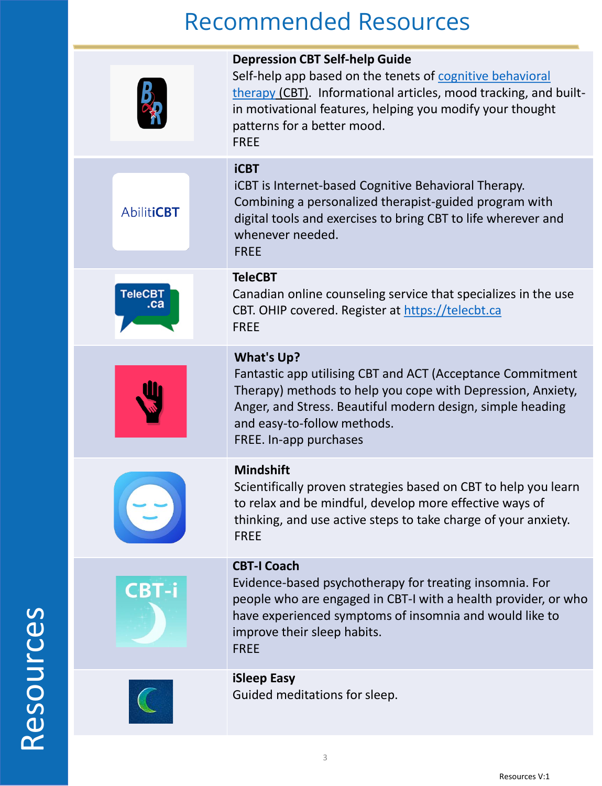|                       | <b>Depression CBT Self-help Guide</b><br>Self-help app based on the tenets of cognitive behavioral<br>therapy (CBT). Informational articles, mood tracking, and built-<br>in motivational features, helping you modify your thought<br>patterns for a better mood.    |
|-----------------------|-----------------------------------------------------------------------------------------------------------------------------------------------------------------------------------------------------------------------------------------------------------------------|
|                       | <b>FREE</b><br><b>iCBT</b>                                                                                                                                                                                                                                            |
| <b>AbilitiCBT</b>     | iCBT is Internet-based Cognitive Behavioral Therapy.<br>Combining a personalized therapist-guided program with<br>digital tools and exercises to bring CBT to life wherever and<br>whenever needed.<br><b>FREE</b>                                                    |
| <b>TeleCBT</b><br>.ca | <b>TeleCBT</b><br>Canadian online counseling service that specializes in the use<br>CBT. OHIP covered. Register at https://telecbt.ca<br><b>FREE</b>                                                                                                                  |
|                       | <b>What's Up?</b><br>Fantastic app utilising CBT and ACT (Acceptance Commitment<br>Therapy) methods to help you cope with Depression, Anxiety,<br>Anger, and Stress. Beautiful modern design, simple heading<br>and easy-to-follow methods.<br>FREE. In-app purchases |
|                       | <b>Mindshift</b><br>Scientifically proven strategies based on CBT to help you learn<br>to relax and be mindful, develop more effective ways of<br>thinking, and use active steps to take charge of your anxiety.<br><b>FREE</b>                                       |
| <b>CBT-i</b>          | <b>CBT-I Coach</b><br>Evidence-based psychotherapy for treating insomnia. For<br>people who are engaged in CBT-I with a health provider, or who<br>have experienced symptoms of insomnia and would like to<br>improve their sleep habits.<br><b>FREE</b>              |
|                       | <b>iSleep Easy</b><br>Guided meditations for sleep.                                                                                                                                                                                                                   |